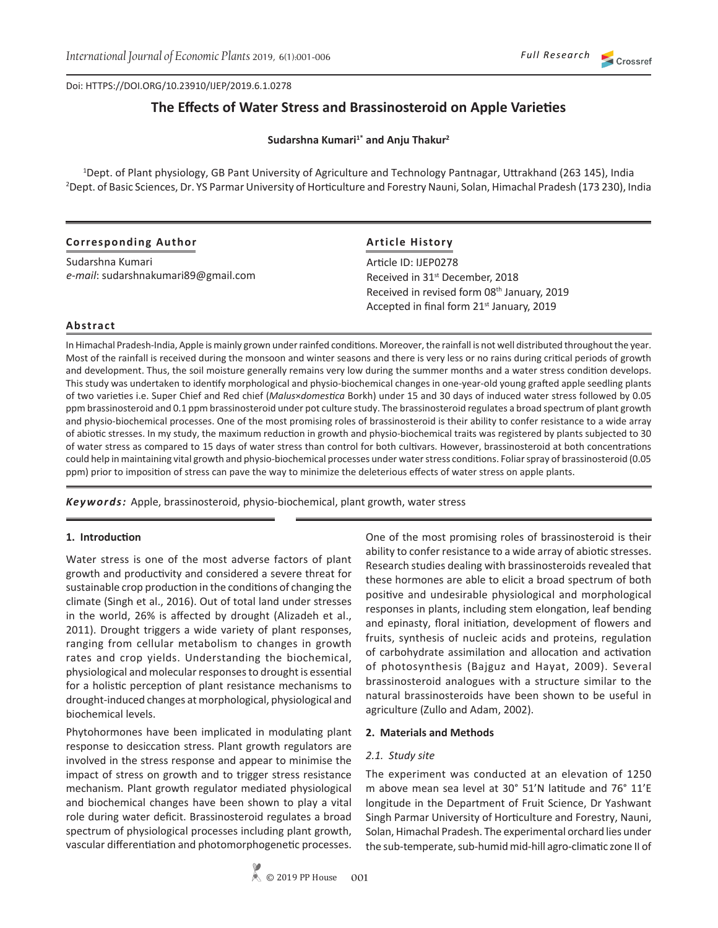# **The Effects of Water Stress and Brassinosteroid on Apple Varieties**

**Sudarshna Kumari1\* and Anju Thakur<sup>2</sup>**

1 Dept. of Plant physiology, GB Pant University of Agriculture and Technology Pantnagar, Uttrakhand (263 145), India 2 Dept. of Basic Sciences, Dr. YS Parmar University of Horticulture and Forestry Nauni, Solan, Himachal Pradesh (173 230), India

| <b>Corresponding Author</b>         | <b>Article History</b>                                                                               |  |
|-------------------------------------|------------------------------------------------------------------------------------------------------|--|
| Sudarshna Kumari                    | Article ID: IJEP0278                                                                                 |  |
| e-mail: sudarshnakumari89@gmail.com | Received in 31 <sup>st</sup> December, 2018                                                          |  |
|                                     | Received in revised form 08th January, 2019<br>Accepted in final form 21 <sup>st</sup> January, 2019 |  |

### **Abstract**

In Himachal Pradesh-India, Apple is mainly grown under rainfed conditions. Moreover, the rainfall is not well distributed throughout the year. Most of the rainfall is received during the monsoon and winter seasons and there is very less or no rains during critical periods of growth and development. Thus, the soil moisture generally remains very low during the summer months and a water stress condition develops. This study was undertaken to identify morphological and physio-biochemical changes in one-year-old young grafted apple seedling plants of two varieties i.e. Super Chief and Red chief (*Malus*×*domestica* Borkh) under 15 and 30 days of induced water stress followed by 0.05 ppm brassinosteroid and 0.1 ppm brassinosteroid under pot culture study. The brassinosteroid regulates a broad spectrum of plant growth and physio-biochemical processes. One of the most promising roles of brassinosteroid is their ability to confer resistance to a wide array of abiotic stresses. In my study, the maximum reduction in growth and physio-biochemical traits was registered by plants subjected to 30 of water stress as compared to 15 days of water stress than control for both cultivars. However, brassinosteroid at both concentrations could help in maintaining vital growth and physio-biochemical processes under water stress conditions. Foliar spray of brassinosteroid (0.05 ppm) prior to imposition of stress can pave the way to minimize the deleterious effects of water stress on apple plants.

*Keywords:* Apple, brassinosteroid, physio-biochemical, plant growth, water stress

### **1. Introduction**

Water stress is one of the most adverse factors of plant growth and productivity and considered a severe threat for sustainable crop production in the conditions of changing the climate (Singh et al., 2016). Out of total land under stresses in the world, 26% is affected by drought (Alizadeh et al., 2011). Drought triggers a wide variety of plant responses, ranging from cellular metabolism to changes in growth rates and crop yields. Understanding the biochemical, physiological and molecular responses to drought is essential for a holistic perception of plant resistance mechanisms to drought-induced changes at morphological, physiological and biochemical levels.

Phytohormones have been implicated in modulating plant response to desiccation stress. Plant growth regulators are involved in the stress response and appear to minimise the impact of stress on growth and to trigger stress resistance mechanism. Plant growth regulator mediated physiological and biochemical changes have been shown to play a vital role during water deficit. Brassinosteroid regulates a broad spectrum of physiological processes including plant growth, vascular differentiation and photomorphogenetic processes.

One of the most promising roles of brassinosteroid is their ability to confer resistance to a wide array of abiotic stresses. Research studies dealing with brassinosteroids revealed that these hormones are able to elicit a broad spectrum of both positive and undesirable physiological and morphological responses in plants, including stem elongation, leaf bending and epinasty, floral initiation, development of flowers and fruits, synthesis of nucleic acids and proteins, regulation of carbohydrate assimilation and allocation and activation of photosynthesis (Bajguz and Hayat, 2009). Several brassinosteroid analogues with a structure similar to the natural brassinosteroids have been shown to be useful in agriculture (Zullo and Adam, 2002).

### **2. Materials and Methods**

#### *2.1. Study site*

The experiment was conducted at an elevation of 1250 m above mean sea level at 30° 51'N latitude and 76° 11'E longitude in the Department of Fruit Science, Dr Yashwant Singh Parmar University of Horticulture and Forestry, Nauni, Solan, Himachal Pradesh. The experimental orchard lies under the sub-temperate, sub-humid mid-hill agro-climatic zone II of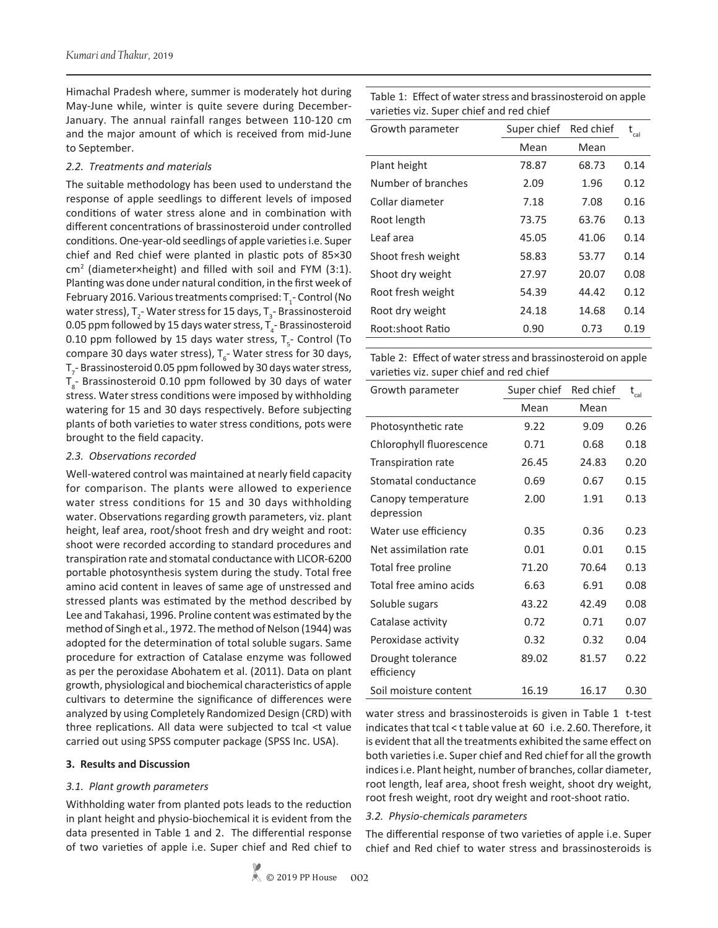Himachal Pradesh where, summer is moderately hot during May-June while, winter is quite severe during December-January. The annual rainfall ranges between 110-120 cm and the major amount of which is received from mid-June to September.

#### *2.2. Treatments and materials*

The suitable methodology has been used to understand the response of apple seedlings to different levels of imposed conditions of water stress alone and in combination with different concentrations of brassinosteroid under controlled conditions. One-year-old seedlings of apple varieties i.e. Super chief and Red chief were planted in plastic pots of 85×30 cm<sup>2</sup> (diameter×height) and filled with soil and FYM (3:1). Planting was done under natural condition, in the first week of February 2016. Various treatments comprised:  $T_i$ - Control (No water stress), T<sub>2</sub>- Water stress for 15 days, T<sub>3</sub>- Brassinosteroid 0.05 ppm followed by 15 days water stress,  $T_{\rm 4}$ - Brassinosteroid 0.10 ppm followed by 15 days water stress,  $T_{5}$ - Control (To compare 30 days water stress),  $T_{6}$ - Water stress for 30 days,  $T_{7}$ - Brassinosteroid 0.05 ppm followed by 30 days water stress,  $T_{\rm s}$ - Brassinosteroid 0.10 ppm followed by 30 days of water stress. Water stress conditions were imposed by withholding watering for 15 and 30 days respectively. Before subjecting plants of both varieties to water stress conditions, pots were brought to the field capacity.

#### *2.3. Observations recorded*

Well-watered control was maintained at nearly field capacity for comparison. The plants were allowed to experience water stress conditions for 15 and 30 days withholding water. Observations regarding growth parameters, viz. plant height, leaf area, root/shoot fresh and dry weight and root: shoot were recorded according to standard procedures and transpiration rate and stomatal conductance with LICOR-6200 portable photosynthesis system during the study. Total free amino acid content in leaves of same age of unstressed and stressed plants was estimated by the method described by Lee and Takahasi, 1996. Proline content was estimated by the method of Singh et al., 1972. The method of Nelson (1944) was adopted for the determination of total soluble sugars. Same procedure for extraction of Catalase enzyme was followed as per the peroxidase Abohatem et al. (2011). Data on plant growth, physiological and biochemical characteristics of apple cultivars to determine the significance of differences were analyzed by using Completely Randomized Design (CRD) with three replications. All data were subjected to tcal <t value carried out using SPSS computer package (SPSS Inc. USA).

### **3. Results and Discussion**

### *3.1. Plant growth parameters*

Withholding water from planted pots leads to the reduction in plant height and physio-biochemical it is evident from the data presented in Table 1 and 2. The differential response of two varieties of apple i.e. Super chief and Red chief to Table 1: Effect of water stress and brassinosteroid on apple varieties viz. Super chief and red chief

| Growth parameter   | Super chief | Red chief | $\rm{t_{cal}}$ |
|--------------------|-------------|-----------|----------------|
|                    | Mean        | Mean      |                |
| Plant height       | 78.87       | 68.73     | 0.14           |
| Number of branches | 2.09        | 1.96      | 0.12           |
| Collar diameter    | 7.18        | 7.08      | 0.16           |
| Root length        | 73.75       | 63.76     | 0.13           |
| Leaf area          | 45.05       | 41.06     | 0.14           |
| Shoot fresh weight | 58.83       | 53.77     | 0.14           |
| Shoot dry weight   | 27.97       | 20.07     | 0.08           |
| Root fresh weight  | 54.39       | 44.42     | 0.12           |
| Root dry weight    | 24.18       | 14.68     | 0.14           |
| Root:shoot Ratio   | 0.90        | 0.73      | 0.19           |
|                    |             |           |                |

Table 2: Effect of water stress and brassinosteroid on apple varieties viz. super chief and red chief

| Growth parameter                 | Super chief | Red chief | $\rm t_{\rm cal}$ |
|----------------------------------|-------------|-----------|-------------------|
|                                  | Mean        | Mean      |                   |
| Photosynthetic rate              | 9.22        | 9.09      | 0.26              |
| Chlorophyll fluorescence         | 0.71        | 0.68      | 0.18              |
| Transpiration rate               | 26.45       | 24.83     | 0.20              |
| Stomatal conductance             | 0.69        | 0.67      | 0.15              |
| Canopy temperature<br>depression | 2.00        | 1.91      | 0.13              |
| Water use efficiency             | 0.35        | 0.36      | 0.23              |
| Net assimilation rate            | 0.01        | 0.01      | 0.15              |
| Total free proline               | 71.20       | 70.64     | 0.13              |
| Total free amino acids           | 6.63        | 6.91      | 0.08              |
| Soluble sugars                   | 43.22       | 42.49     | 0.08              |
| Catalase activity                | 0.72        | 0.71      | 0.07              |
| Peroxidase activity              | 0.32        | 0.32      | 0.04              |
| Drought tolerance<br>efficiency  | 89.02       | 81.57     | 0.22              |
| Soil moisture content            | 16.19       | 16.17     | 0.30              |

water stress and brassinosteroids is given in Table 1 t-test indicates that tcal < t table value at 60 i.e. 2.60. Therefore, it is evident that all the treatments exhibited the same effect on both varieties i.e. Super chief and Red chief for all the growth indices i.e. Plant height, number of branches, collar diameter, root length, leaf area, shoot fresh weight, shoot dry weight, root fresh weight, root dry weight and root-shoot ratio.

### *3.2. Physio-chemicals parameters*

The differential response of two varieties of apple i.e. Super chief and Red chief to water stress and brassinosteroids is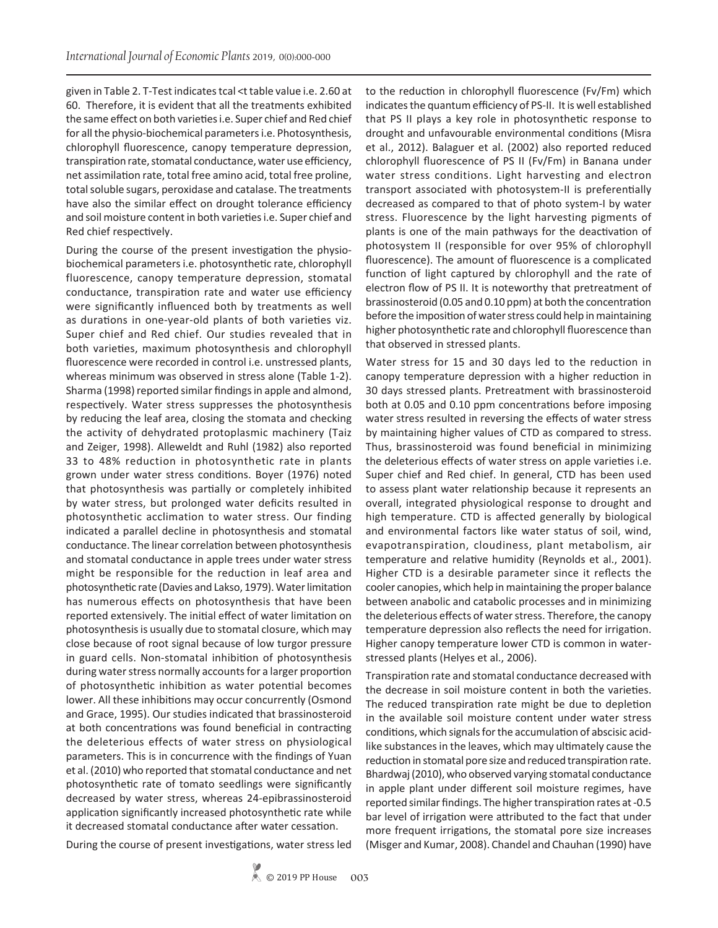given in Table 2. T-Test indicates tcal <t table value i.e. 2.60 at 60. Therefore, it is evident that all the treatments exhibited the same effect on both varieties i.e. Super chief and Red chief for all the physio-biochemical parameters i.e. Photosynthesis, chlorophyll fluorescence, canopy temperature depression, transpiration rate, stomatal conductance, water use efficiency, net assimilation rate, total free amino acid, total free proline, total soluble sugars, peroxidase and catalase. The treatments have also the similar effect on drought tolerance efficiency and soil moisture content in both varieties i.e. Super chief and Red chief respectively.

During the course of the present investigation the physiobiochemical parameters i.e. photosynthetic rate, chlorophyll fluorescence, canopy temperature depression, stomatal conductance, transpiration rate and water use efficiency were significantly influenced both by treatments as well as durations in one-year-old plants of both varieties viz. Super chief and Red chief. Our studies revealed that in both varieties, maximum photosynthesis and chlorophyll fluorescence were recorded in control i.e. unstressed plants, whereas minimum was observed in stress alone (Table 1-2). Sharma (1998) reported similar findings in apple and almond, respectively. Water stress suppresses the photosynthesis by reducing the leaf area, closing the stomata and checking the activity of dehydrated protoplasmic machinery (Taiz and Zeiger, 1998). Alleweldt and Ruhl (1982) also reported 33 to 48% reduction in photosynthetic rate in plants grown under water stress conditions. Boyer (1976) noted that photosynthesis was partially or completely inhibited by water stress, but prolonged water deficits resulted in photosynthetic acclimation to water stress. Our finding indicated a parallel decline in photosynthesis and stomatal conductance. The linear correlation between photosynthesis and stomatal conductance in apple trees under water stress might be responsible for the reduction in leaf area and photosynthetic rate (Davies and Lakso, 1979). Water limitation has numerous effects on photosynthesis that have been reported extensively. The initial effect of water limitation on photosynthesis is usually due to stomatal closure, which may close because of root signal because of low turgor pressure in guard cells. Non-stomatal inhibition of photosynthesis during water stress normally accounts for a larger proportion of photosynthetic inhibition as water potential becomes lower. All these inhibitions may occur concurrently (Osmond and Grace, 1995). Our studies indicated that brassinosteroid at both concentrations was found beneficial in contracting the deleterious effects of water stress on physiological parameters. This is in concurrence with the findings of Yuan et al. (2010) who reported that stomatal conductance and net photosynthetic rate of tomato seedlings were significantly decreased by water stress, whereas 24-epibrassinosteroid application significantly increased photosynthetic rate while it decreased stomatal conductance after water cessation.

During the course of present investigations, water stress led

to the reduction in chlorophyll fluorescence (Fv/Fm) which indicates the quantum efficiency of PS-II. It is well established that PS II plays a key role in photosynthetic response to drought and unfavourable environmental conditions (Misra et al., 2012). Balaguer et al. (2002) also reported reduced chlorophyll fluorescence of PS II (Fv/Fm) in Banana under water stress conditions. Light harvesting and electron transport associated with photosystem-II is preferentially decreased as compared to that of photo system-I by water stress. Fluorescence by the light harvesting pigments of plants is one of the main pathways for the deactivation of photosystem II (responsible for over 95% of chlorophyll fluorescence). The amount of fluorescence is a complicated function of light captured by chlorophyll and the rate of electron flow of PS II. It is noteworthy that pretreatment of brassinosteroid (0.05 and 0.10 ppm) at both the concentration before the imposition of water stress could help in maintaining higher photosynthetic rate and chlorophyll fluorescence than that observed in stressed plants.

Water stress for 15 and 30 days led to the reduction in canopy temperature depression with a higher reduction in 30 days stressed plants. Pretreatment with brassinosteroid both at 0.05 and 0.10 ppm concentrations before imposing water stress resulted in reversing the effects of water stress by maintaining higher values of CTD as compared to stress. Thus, brassinosteroid was found beneficial in minimizing the deleterious effects of water stress on apple varieties i.e. Super chief and Red chief. In general, CTD has been used to assess plant water relationship because it represents an overall, integrated physiological response to drought and high temperature. CTD is affected generally by biological and environmental factors like water status of soil, wind, evapotranspiration, cloudiness, plant metabolism, air temperature and relative humidity (Reynolds et al., 2001). Higher CTD is a desirable parameter since it reflects the cooler canopies, which help in maintaining the proper balance between anabolic and catabolic processes and in minimizing the deleterious effects of water stress. Therefore, the canopy temperature depression also reflects the need for irrigation. Higher canopy temperature lower CTD is common in waterstressed plants (Helyes et al., 2006).

Transpiration rate and stomatal conductance decreased with the decrease in soil moisture content in both the varieties. The reduced transpiration rate might be due to depletion in the available soil moisture content under water stress conditions, which signals for the accumulation of abscisic acidlike substances in the leaves, which may ultimately cause the reduction in stomatal pore size and reduced transpiration rate. Bhardwaj (2010), who observed varying stomatal conductance in apple plant under different soil moisture regimes, have reported similar findings. The higher transpiration rates at -0.5 bar level of irrigation were attributed to the fact that under more frequent irrigations, the stomatal pore size increases (Misger and Kumar, 2008). Chandel and Chauhan (1990) have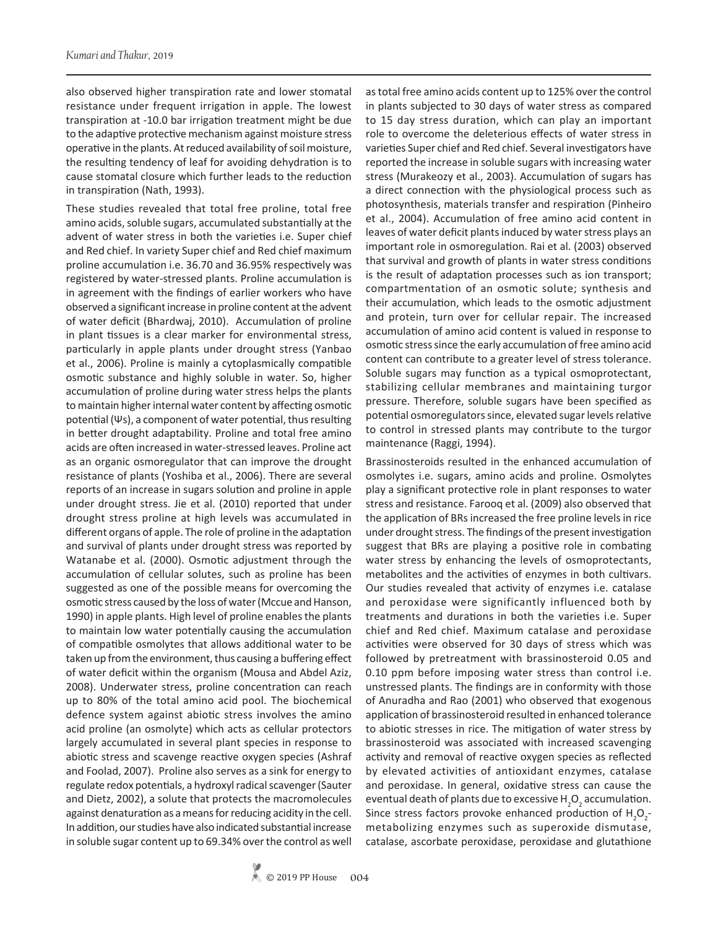also observed higher transpiration rate and lower stomatal resistance under frequent irrigation in apple. The lowest transpiration at -10.0 bar irrigation treatment might be due to the adaptive protective mechanism against moisture stress operative in the plants. At reduced availability of soil moisture, the resulting tendency of leaf for avoiding dehydration is to cause stomatal closure which further leads to the reduction in transpiration (Nath, 1993).

These studies revealed that total free proline, total free amino acids, soluble sugars, accumulated substantially at the advent of water stress in both the varieties i.e. Super chief and Red chief. In variety Super chief and Red chief maximum proline accumulation i.e. 36.70 and 36.95% respectively was registered by water-stressed plants. Proline accumulation is in agreement with the findings of earlier workers who have observed a significant increase in proline content at the advent of water deficit (Bhardwaj, 2010). Accumulation of proline in plant tissues is a clear marker for environmental stress, particularly in apple plants under drought stress (Yanbao et al., 2006). Proline is mainly a cytoplasmically compatible osmotic substance and highly soluble in water. So, higher accumulation of proline during water stress helps the plants to maintain higher internal water content by affecting osmotic potential (Ψs), a component of water potential, thus resulting in better drought adaptability. Proline and total free amino acids are often increased in water-stressed leaves. Proline act as an organic osmoregulator that can improve the drought resistance of plants (Yoshiba et al., 2006). There are several reports of an increase in sugars solution and proline in apple under drought stress. Jie et al. (2010) reported that under drought stress proline at high levels was accumulated in different organs of apple. The role of proline in the adaptation and survival of plants under drought stress was reported by Watanabe et al. (2000). Osmotic adjustment through the accumulation of cellular solutes, such as proline has been suggested as one of the possible means for overcoming the osmotic stress caused by the loss of water (Mccue and Hanson, 1990) in apple plants. High level of proline enables the plants to maintain low water potentially causing the accumulation of compatible osmolytes that allows additional water to be taken up from the environment, thus causing a buffering effect of water deficit within the organism (Mousa and Abdel Aziz, 2008). Underwater stress, proline concentration can reach up to 80% of the total amino acid pool. The biochemical defence system against abiotic stress involves the amino acid proline (an osmolyte) which acts as cellular protectors largely accumulated in several plant species in response to abiotic stress and scavenge reactive oxygen species (Ashraf and Foolad, 2007). Proline also serves as a sink for energy to regulate redox potentials, a hydroxyl radical scavenger (Sauter and Dietz, 2002), a solute that protects the macromolecules against denaturation as a means for reducing acidity in the cell. In addition, our studies have also indicated substantial increase in soluble sugar content up to 69.34% over the control as well

as total free amino acids content up to 125% over the control in plants subjected to 30 days of water stress as compared to 15 day stress duration, which can play an important role to overcome the deleterious effects of water stress in varieties Super chief and Red chief. Several investigators have reported the increase in soluble sugars with increasing water stress (Murakeozy et al., 2003). Accumulation of sugars has a direct connection with the physiological process such as photosynthesis, materials transfer and respiration (Pinheiro et al., 2004). Accumulation of free amino acid content in leaves of water deficit plants induced by water stress plays an important role in osmoregulation. Rai et al. (2003) observed that survival and growth of plants in water stress conditions is the result of adaptation processes such as ion transport; compartmentation of an osmotic solute; synthesis and their accumulation, which leads to the osmotic adjustment and protein, turn over for cellular repair. The increased accumulation of amino acid content is valued in response to osmotic stress since the early accumulation of free amino acid content can contribute to a greater level of stress tolerance. Soluble sugars may function as a typical osmoprotectant, stabilizing cellular membranes and maintaining turgor pressure. Therefore, soluble sugars have been specified as potential osmoregulators since, elevated sugar levels relative to control in stressed plants may contribute to the turgor maintenance (Raggi, 1994).

Brassinosteroids resulted in the enhanced accumulation of osmolytes i.e. sugars, amino acids and proline. Osmolytes play a significant protective role in plant responses to water stress and resistance. Farooq et al. (2009) also observed that the application of BRs increased the free proline levels in rice under drought stress. The findings of the present investigation suggest that BRs are playing a positive role in combating water stress by enhancing the levels of osmoprotectants, metabolites and the activities of enzymes in both cultivars. Our studies revealed that activity of enzymes i.e. catalase and peroxidase were significantly influenced both by treatments and durations in both the varieties i.e. Super chief and Red chief. Maximum catalase and peroxidase activities were observed for 30 days of stress which was followed by pretreatment with brassinosteroid 0.05 and 0.10 ppm before imposing water stress than control i.e. unstressed plants. The findings are in conformity with those of Anuradha and Rao (2001) who observed that exogenous application of brassinosteroid resulted in enhanced tolerance to abiotic stresses in rice. The mitigation of water stress by brassinosteroid was associated with increased scavenging activity and removal of reactive oxygen species as reflected by elevated activities of antioxidant enzymes, catalase and peroxidase. In general, oxidative stress can cause the eventual death of plants due to excessive  $H_{2}O_{2}$  accumulation. Since stress factors provoke enhanced production of  $H_2O_2$ metabolizing enzymes such as superoxide dismutase, catalase, ascorbate peroxidase, peroxidase and glutathione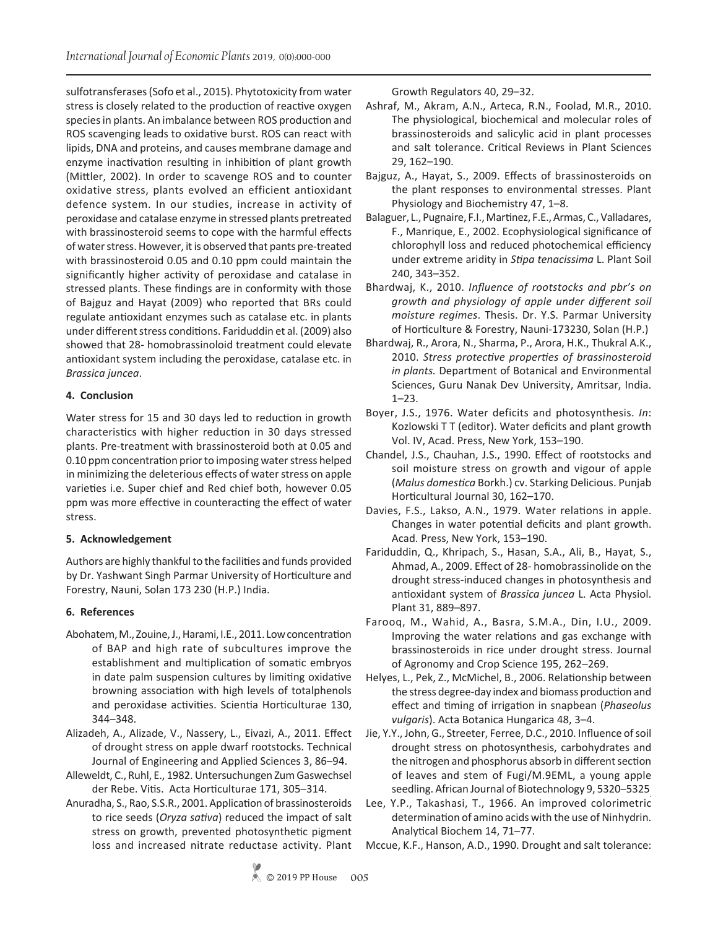sulfotransferases (Sofo et al., 2015). Phytotoxicity from water stress is closely related to the production of reactive oxygen species in plants. An imbalance between ROS production and ROS scavenging leads to oxidative burst. ROS can react with lipids, DNA and proteins, and causes membrane damage and enzyme inactivation resulting in inhibition of plant growth (Mittler, 2002). In order to scavenge ROS and to counter oxidative stress, plants evolved an efficient antioxidant defence system. In our studies, increase in activity of peroxidase and catalase enzyme in stressed plants pretreated with brassinosteroid seems to cope with the harmful effects of water stress. However, it is observed that pants pre-treated with brassinosteroid 0.05 and 0.10 ppm could maintain the significantly higher activity of peroxidase and catalase in stressed plants. These findings are in conformity with those of Bajguz and Hayat (2009) who reported that BRs could regulate antioxidant enzymes such as catalase etc. in plants under different stress conditions. Fariduddin et al. (2009) also showed that 28- homobrassinoloid treatment could elevate antioxidant system including the peroxidase, catalase etc. in *Brassica juncea*.

## **4. Conclusion**

Water stress for 15 and 30 days led to reduction in growth characteristics with higher reduction in 30 days stressed plants. Pre-treatment with brassinosteroid both at 0.05 and 0.10 ppm concentration prior to imposing water stress helped in minimizing the deleterious effects of water stress on apple varieties i.e. Super chief and Red chief both, however 0.05 ppm was more effective in counteracting the effect of water stress.

### **5. Acknowledgement**

Authors are highly thankful to the facilities and funds provided by Dr. Yashwant Singh Parmar University of Horticulture and Forestry, Nauni, Solan 173 230 (H.P.) India.

## **6. References**

- Abohatem, M., Zouine, J., Harami, I.E., 2011. Low concentration of BAP and high rate of subcultures improve the establishment and multiplication of somatic embryos in date palm suspension cultures by limiting oxidative browning association with high levels of totalphenols and peroxidase activities. Scientia Horticulturae 130, 344–348.
- Alizadeh, A., Alizade, V., Nassery, L., Eivazi, A., 2011. Effect of drought stress on apple dwarf rootstocks. Technical Journal of Engineering and Applied Sciences 3, 86–94.
- Alleweldt, C., Ruhl, E., 1982. Untersuchungen Zum Gaswechsel der Rebe. Vitis. Acta Horticulturae 171, 305–314.
- Anuradha, S., Rao, S.S.R., 2001. Application of brassinosteroids to rice seeds (*Oryza sativa*) reduced the impact of salt stress on growth, prevented photosynthetic pigment loss and increased nitrate reductase activity. Plant

Growth Regulators 40, 29–32.

- Ashraf, M., Akram, A.N., Arteca, R.N., Foolad, M.R., 2010. The physiological, biochemical and molecular roles of brassinosteroids and salicylic acid in plant processes and salt tolerance. Critical Reviews in Plant Sciences 29, 162–190.
- Bajguz, A., Hayat, S., 2009. Effects of brassinosteroids on the plant responses to environmental stresses. Plant Physiology and Biochemistry 47, 1–8.
- Balaguer, L., Pugnaire, F.I., Martinez, F.E., Armas, C., Valladares, F., Manrique, E., 2002. Ecophysiological significance of chlorophyll loss and reduced photochemical efficiency under extreme aridity in *Stipa tenacissima* L. Plant Soil 240, 343–352.
- Bhardwaj, K., 2010. *Influence of rootstocks and pbr's on growth and physiology of apple under different soil moisture regimes*. Thesis. Dr. Y.S. Parmar University of Horticulture & Forestry, Nauni-173230, Solan (H.P.)
- Bhardwaj, R., Arora, N., Sharma, P., Arora, H.K., Thukral A.K., 2010. *Stress protective properties of brassinosteroid in plants.* Department of Botanical and Environmental Sciences, Guru Nanak Dev University, Amritsar, India. 1–23.
- Boyer, J.S., 1976. Water deficits and photosynthesis. *In*: Kozlowski T T (editor). Water deficits and plant growth Vol. IV, Acad. Press, New York, 153–190.
- Chandel, J.S., Chauhan, J.S., 1990. Effect of rootstocks and soil moisture stress on growth and vigour of apple (*Malus domestica* Borkh.) cv. Starking Delicious. Punjab Horticultural Journal 30, 162–170.
- Davies, F.S., Lakso, A.N., 1979. Water relations in apple. Changes in water potential deficits and plant growth. Acad. Press, New York, 153–190.
- Fariduddin, Q., Khripach, S., Hasan, S.A., Ali, B., Hayat, S., Ahmad, A., 2009. Effect of 28- homobrassinolide on the drought stress-induced changes in photosynthesis and antioxidant system of *Brassica juncea* L. Acta Physiol. Plant 31, 889–897.
- Farooq, M., Wahid, A., Basra, S.M.A., Din, I.U., 2009. Improving the water relations and gas exchange with brassinosteroids in rice under drought stress. Journal of Agronomy and Crop Science 195, 262–269.
- Helyes, L., Pek, Z., McMichel, B., 2006. Relationship between the stress degree-day index and biomass production and effect and timing of irrigation in snapbean (*Phaseolus vulgaris*). Acta Botanica Hungarica 48, 3–4.
- Jie, Y.Y., John, G., Streeter, Ferree, D.C., 2010. Influence of soil drought stress on photosynthesis, carbohydrates and the nitrogen and phosphorus absorb in different section of leaves and stem of Fugi/M.9EML, a young apple seedling. African Journal of Biotechnology 9, 5320–5325.
- Lee, Y.P., Takashasi, T., 1966. An improved colorimetric determination of amino acids with the use of Ninhydrin. Analytical Biochem 14, 71–77.

Mccue, K.F., Hanson, A.D., 1990. Drought and salt tolerance: